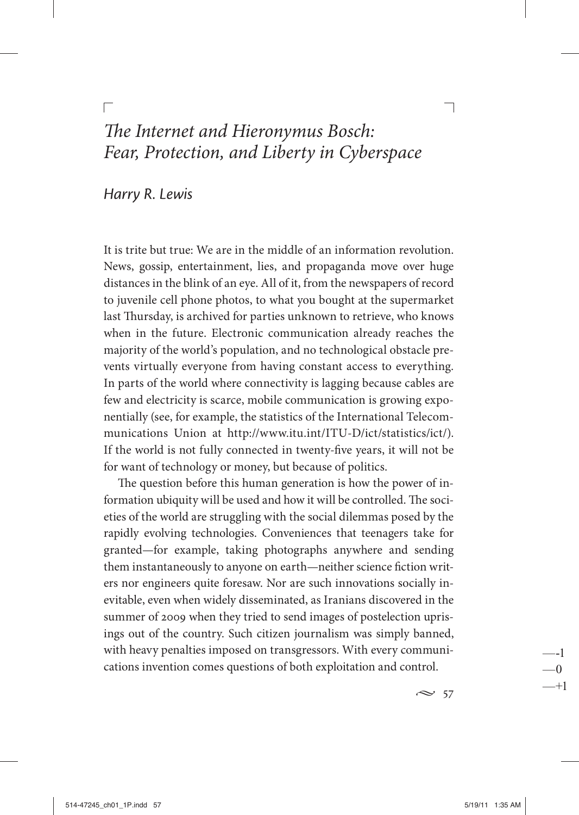# The Internet and Hieronymus Bosch: Fear, Protection, and Liberty in Cyberspace

*Harry R. Lewis*

 $\Box$ 

It is trite but true: We are in the middle of an information revolution. News, gossip, entertainment, lies, and propaganda move over huge distances in the blink of an eye. All of it, from the newspapers of record to juvenile cell phone photos, to what you bought at the supermarket last Thursday, is archived for parties unknown to retrieve, who knows when in the future. Electronic communication already reaches the majority of the world's population, and no technological obstacle prevents virtually everyone from having constant access to everything. In parts of the world where connectivity is lagging because cables are few and electricity is scarce, mobile communication is growing exponentially (see, for example, the statistics of the International Telecommunications Union at http://www.itu.int/ITU-D/ict/statistics/ict/). If the world is not fully connected in twenty-five years, it will not be for want of technology or money, but because of politics.

The question before this human generation is how the power of information ubiquity will be used and how it will be controlled. The societies of the world are struggling with the social dilemmas posed by the rapidly evolving technologies. Conveniences that teenagers take for granted— for example, taking photographs anywhere and sending them instantaneously to anyone on earth—neither science fiction writers nor engineers quite foresaw. Nor are such innovations socially inevitable, even when widely disseminated, as Iranians discovered in the summer of 2009 when they tried to send images of postelection uprisings out of the country. Such citizen journalism was simply banned, with heavy penalties imposed on transgressors. With every communications invention comes questions of both exploitation and control.

 $\approx$  57  $-1$ 

┓

—-1 —0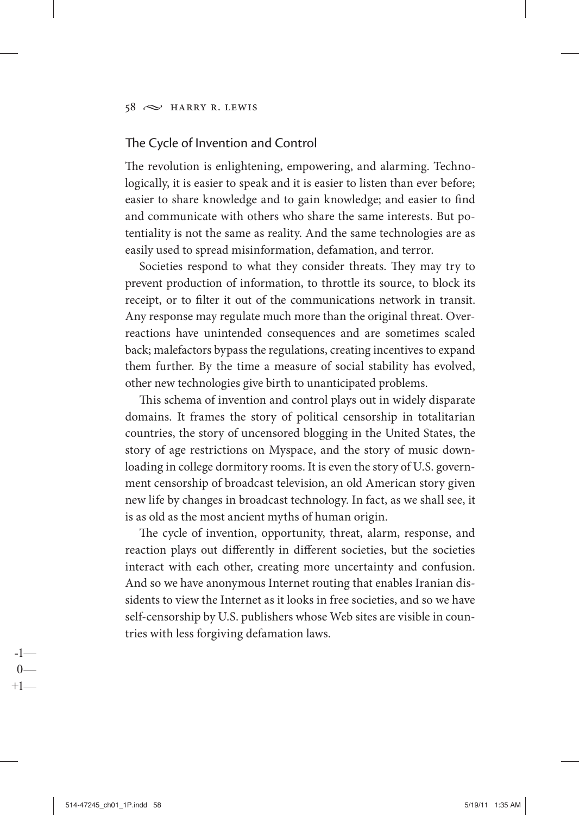# The Cycle of Invention and Control

The revolution is enlightening, empowering, and alarming. Technologically, it is easier to speak and it is easier to listen than ever before; easier to share knowledge and to gain knowledge; and easier to find and communicate with others who share the same interests. But potentiality is not the same as reality. And the same technologies are as easily used to spread misinformation, defamation, and terror.

Societies respond to what they consider threats. They may try to prevent production of information, to throttle its source, to block its receipt, or to filter it out of the communications network in transit. Any response may regulate much more than the original threat. Overreactions have unintended consequences and are sometimes scaled back; malefactors bypass the regulations, creating incentives to expand them further. By the time a measure of social stability has evolved, other new technologies give birth to unanticipated problems.

This schema of invention and control plays out in widely disparate domains. It frames the story of political censorship in totalitarian countries, the story of uncensored blogging in the United States, the story of age restrictions on Myspace, and the story of music downloading in college dormitory rooms. It is even the story of U.S. government censorship of broadcast television, an old American story given new life by changes in broadcast technology. In fact, as we shall see, it is as old as the most ancient myths of human origin.

The cycle of invention, opportunity, threat, alarm, response, and reaction plays out differently in different societies, but the societies interact with each other, creating more uncertainty and confusion. And so we have anonymous Internet routing that enables Iranian dissidents to view the Internet as it looks in free societies, and so we have self- censorship by U.S. publishers whose Web sites are visible in countries with less forgiving defamation laws.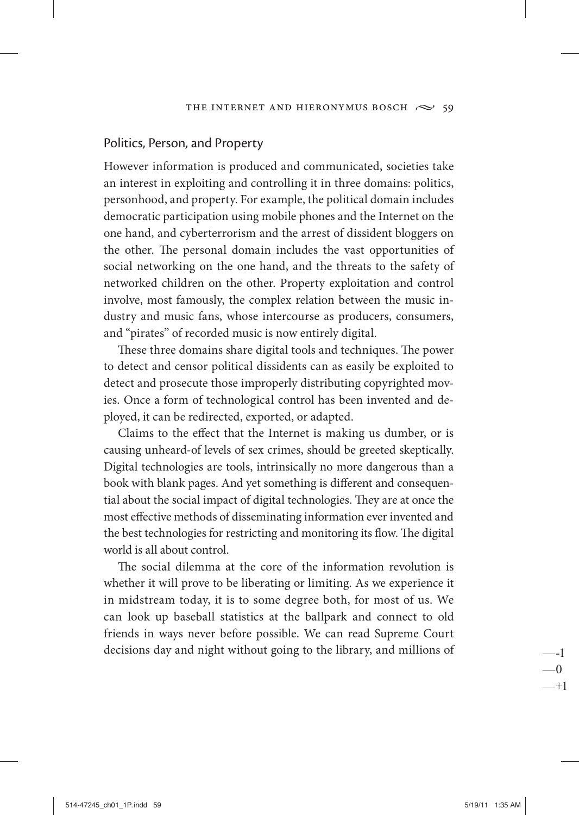## Politics, Person, and Property

However information is produced and communicated, societies take an interest in exploiting and controlling it in three domains: politics, personhood, and property. For example, the political domain includes democratic participation using mobile phones and the Internet on the one hand, and cyberterrorism and the arrest of dissident bloggers on the other. The personal domain includes the vast opportunities of social networking on the one hand, and the threats to the safety of networked children on the other. Property exploitation and control involve, most famously, the complex relation between the music industry and music fans, whose intercourse as producers, consumers, and "pirates" of recorded music is now entirely digital.

These three domains share digital tools and techniques. The power to detect and censor political dissidents can as easily be exploited to detect and prosecute those improperly distributing copyrighted movies. Once a form of technological control has been invented and deployed, it can be redirected, exported, or adapted.

Claims to the effect that the Internet is making us dumber, or is causing unheard- of levels of sex crimes, should be greeted skeptically. Digital technologies are tools, intrinsically no more dangerous than a book with blank pages. And yet something is different and consequential about the social impact of digital technologies. They are at once the most effective methods of disseminating information ever invented and the best technologies for restricting and monitoring its flow. The digital world is all about control.

The social dilemma at the core of the information revolution is whether it will prove to be liberating or limiting. As we experience it in midstream today, it is to some degree both, for most of us. We can look up baseball statistics at the ballpark and connect to old friends in ways never before possible. We can read Supreme Court decisions day and night without going to the library, and millions of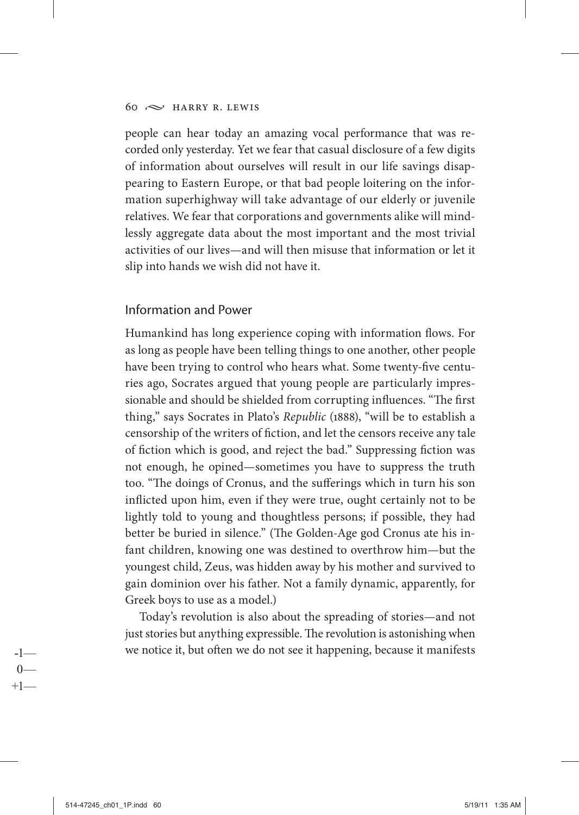people can hear today an amazing vocal performance that was recorded only yesterday. Yet we fear that casual disclosure of a few digits of information about ourselves will result in our life savings disappearing to Eastern Europe, or that bad people loitering on the information superhighway will take advantage of our elderly or juvenile relatives. We fear that corporations and governments alike will mindlessly aggregate data about the most important and the most trivial activities of our lives— and will then misuse that information or let it slip into hands we wish did not have it.

## Information and Power

Humankind has long experience coping with information flows. For as long as people have been telling things to one another, other people have been trying to control who hears what. Some twenty-five centuries ago, Socrates argued that young people are particularly impressionable and should be shielded from corrupting influences. "The first thing," says Socrates in Plato's Republic (1888), "will be to establish a censorship of the writers of fiction, and let the censors receive any tale of fiction which is good, and reject the bad." Suppressing fiction was not enough, he opined— sometimes you have to suppress the truth too. "The doings of Cronus, and the sufferings which in turn his son inflicted upon him, even if they were true, ought certainly not to be lightly told to young and thoughtless persons; if possible, they had better be buried in silence." (The Golden-Age god Cronus ate his infant children, knowing one was destined to overthrow him— but the youngest child, Zeus, was hidden away by his mother and survived to gain dominion over his father. Not a family dynamic, apparently, for Greek boys to use as a model.)

Today's revolution is also about the spreading of stories— and not just stories but anything expressible. The revolution is astonishing when we notice it, but often we do not see it happening, because it manifests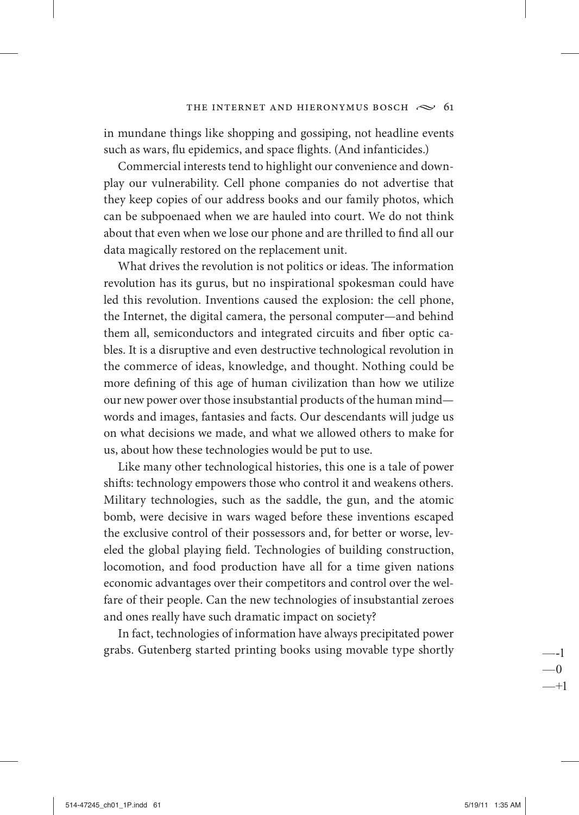## THE INTERNET AND HIERONYMUS BOSCH  $\approx$  61

in mundane things like shopping and gossiping, not headline events such as wars, flu epidemics, and space flights. (And infanticides.)

Commercial interests tend to highlight our convenience and downplay our vulnerability. Cell phone companies do not advertise that they keep copies of our address books and our family photos, which can be subpoenaed when we are hauled into court. We do not think about that even when we lose our phone and are thrilled to find all our data magically restored on the replacement unit.

What drives the revolution is not politics or ideas. The information revolution has its gurus, but no inspirational spokesman could have led this revolution. Inventions caused the explosion: the cell phone, the Internet, the digital camera, the personal computer— and behind them all, semiconductors and integrated circuits and fiber optic cables. It is a disruptive and even destructive technological revolution in the commerce of ideas, knowledge, and thought. Nothing could be more defining of this age of human civilization than how we utilize our new power over those insubstantial products of the human mind words and images, fantasies and facts. Our descendants will judge us on what decisions we made, and what we allowed others to make for us, about how these technologies would be put to use.

Like many other technological histories, this one is a tale of power shifts: technology empowers those who control it and weakens others. Military technologies, such as the saddle, the gun, and the atomic bomb, were decisive in wars waged before these inventions escaped the exclusive control of their possessors and, for better or worse, leveled the global playing field. Technologies of building construction, locomotion, and food production have all for a time given nations economic advantages over their competitors and control over the welfare of their people. Can the new technologies of insubstantial zeroes and ones really have such dramatic impact on society?

In fact, technologies of information have always precipitated power grabs. Gutenberg started printing books using movable type shortly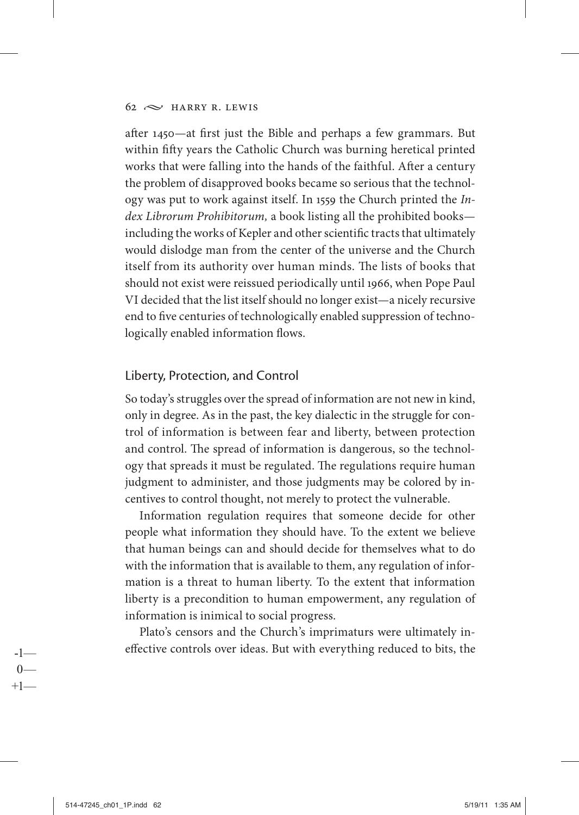after 1450—at first just the Bible and perhaps a few grammars. But within fifty years the Catholic Church was burning heretical printed works that were falling into the hands of the faithful. After a century the problem of disapproved books became so serious that the technology was put to work against itself. In 1559 the Church printed the Index Librorum Prohibitorum, a book listing all the prohibited books including the works of Kepler and other scientific tracts that ultimately would dislodge man from the center of the universe and the Church itself from its authority over human minds. The lists of books that should not exist were reissued periodically until 1966, when Pope Paul VI decided that the list itself should no longer exist— a nicely recursive end to five centuries of technologically enabled suppression of technologically enabled information flows.

## Liberty, Protection, and Control

So today's struggles over the spread of information are not new in kind, only in degree. As in the past, the key dialectic in the struggle for control of information is between fear and liberty, between protection and control. The spread of information is dangerous, so the technology that spreads it must be regulated. The regulations require human judgment to administer, and those judgments may be colored by incentives to control thought, not merely to protect the vulnerable.

Information regulation requires that someone decide for other people what information they should have. To the extent we believe that human beings can and should decide for themselves what to do with the information that is available to them, any regulation of information is a threat to human liberty. To the extent that information liberty is a precondition to human empowerment, any regulation of information is inimical to social progress.

Plato's censors and the Church's imprimaturs were ultimately ineffective controls over ideas. But with everything reduced to bits, the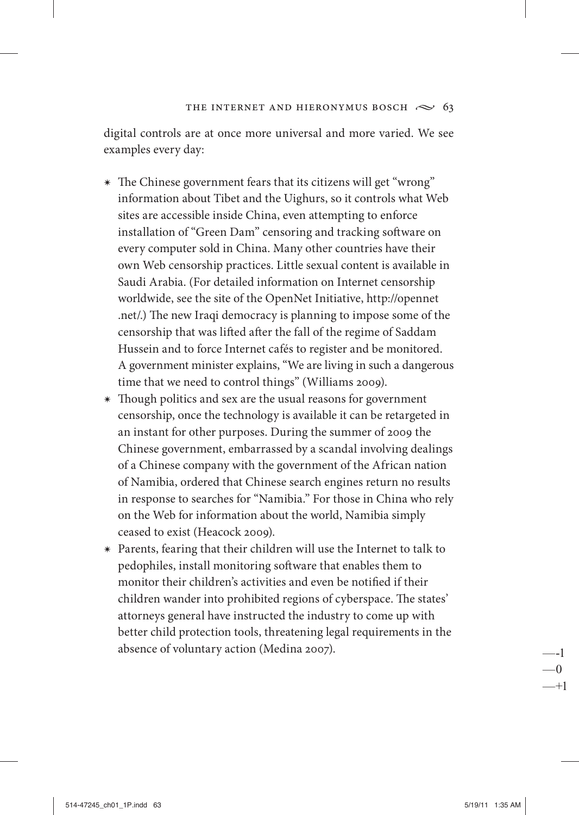digital controls are at once more universal and more varied. We see examples every day:

- $*$  The Chinese government fears that its citizens will get "wrong" information about Tibet and the Uighurs, so it controls what Web sites are accessible inside China, even attempting to enforce installation of "Green Dam" censoring and tracking software on every computer sold in China. Many other countries have their own Web censorship practices. Little sexual content is available in Saudi Arabia. (For detailed information on Internet censorship worldwide, see the site of the OpenNet Initiative, http:// opennet .net/.) The new Iraqi democracy is planning to impose some of the censorship that was lifted after the fall of the regime of Saddam Hussein and to force Internet cafés to register and be monitored. A government minister explains, "We are living in such a dangerous time that we need to control things" (Williams 2009).
- $*$  Though politics and sex are the usual reasons for government censorship, once the technology is available it can be retargeted in an instant for other purposes. During the summer of 2009 the Chinese government, embarrassed by a scandal involving dealings of a Chinese company with the government of the African nation of Namibia, ordered that Chinese search engines return no results in response to searches for "Namibia." For those in China who rely on the Web for information about the world, Namibia simply ceased to exist (Heacock 2009).
- \* Parents, fearing that their children will use the Internet to talk to pedophiles, install monitoring software that enables them to monitor their children's activities and even be notified if their children wander into prohibited regions of cyberspace. The states' attorneys general have instructed the industry to come up with better child protection tools, threatening legal requirements in the absence of voluntary action (Medina 2007).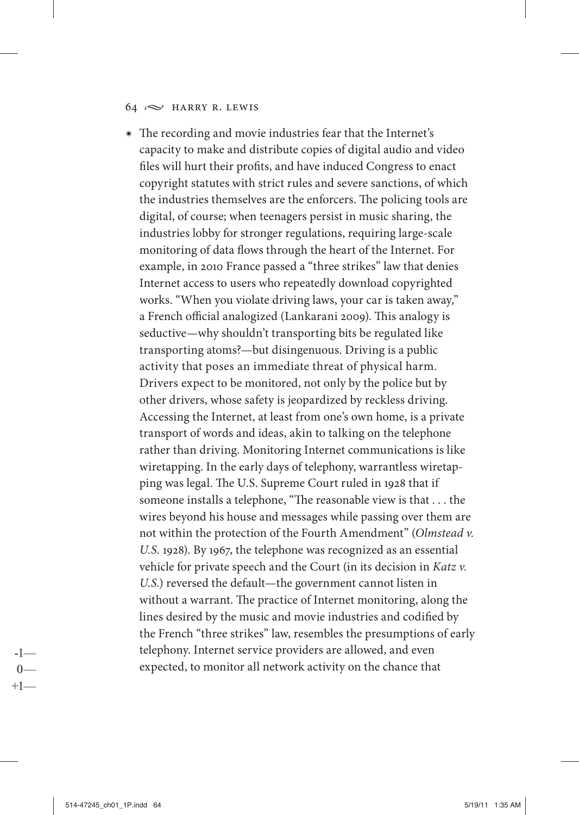\* The recording and movie industries fear that the Internet's capacity to make and distribute copies of digital audio and video files will hurt their profits, and have induced Congress to enact copyright statutes with strict rules and severe sanctions, of which the industries themselves are the enforcers. The policing tools are digital, of course; when teenagers persist in music sharing, the industries lobby for stronger regulations, requiring large- scale monitoring of data flows through the heart of the Internet. For example, in 2010 France passed a "three strikes" law that denies Internet access to users who repeatedly download copyrighted works. "When you violate driving laws, your car is taken away," a French official analogized (Lankarani 2009). This analogy is seductive— why shouldn't transporting bits be regulated like transporting atoms?— but disingenuous. Driving is a public activity that poses an immediate threat of physical harm. Drivers expect to be monitored, not only by the police but by other drivers, whose safety is jeopardized by reckless driving. Accessing the Internet, at least from one's own home, is a private transport of words and ideas, akin to talking on the telephone rather than driving. Monitoring Internet communications is like wiretapping. In the early days of telephony, warrantless wiretapping was legal. The U.S. Supreme Court ruled in 1928 that if someone installs a telephone, "The reasonable view is that . . . the wires beyond his house and messages while passing over them are not within the protection of the Fourth Amendment" (Olmstead v. U.S. 1928). By 1967, the telephone was recognized as an essential vehicle for private speech and the Court (in its decision in Katz v. U.S.) reversed the default— the government cannot listen in without a warrant. The practice of Internet monitoring, along the lines desired by the music and movie industries and codified by the French "three strikes" law, resembles the presumptions of early telephony. Internet service providers are allowed, and even expected, to monitor all network activity on the chance that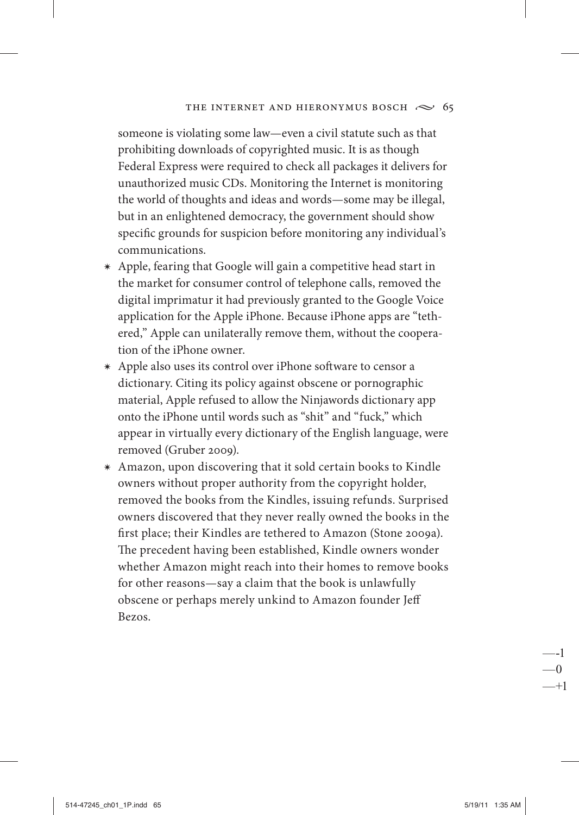#### THE INTERNET AND HIERONYMUS BOSCH  $\sim$  65

someone is violating some law— even a civil statute such as that prohibiting downloads of copyrighted music. It is as though Federal Express were required to check all packages it delivers for unauthorized music CDs. Monitoring the Internet is monitoring the world of thoughts and ideas and words— some may be illegal, but in an enlightened democracy, the government should show specific grounds for suspicion before monitoring any individual's communications.

- \* Apple, fearing that Google will gain a competitive head start in the market for consumer control of telephone calls, removed the digital imprimatur it had previously granted to the Google Voice application for the Apple iPhone. Because iPhone apps are "tethered," Apple can unilaterally remove them, without the cooperation of the iPhone owner.
- \* Apple also uses its control over iPhone software to censor a dictionary. Citing its policy against obscene or pornographic material, Apple refused to allow the Ninjawords dictionary app onto the iPhone until words such as "shit" and "fuck," which appear in virtually every dictionary of the English language, were removed (Gruber 2009).
- \* Amazon, upon discovering that it sold certain books to Kindle owners without proper authority from the copyright holder, removed the books from the Kindles, issuing refunds. Surprised owners discovered that they never really owned the books in the first place; their Kindles are tethered to Amazon (Stone 2009a). The precedent having been established, Kindle owners wonder whether Amazon might reach into their homes to remove books for other reasons— say a claim that the book is unlawfully obscene or perhaps merely unkind to Amazon founder Jeff Bezos.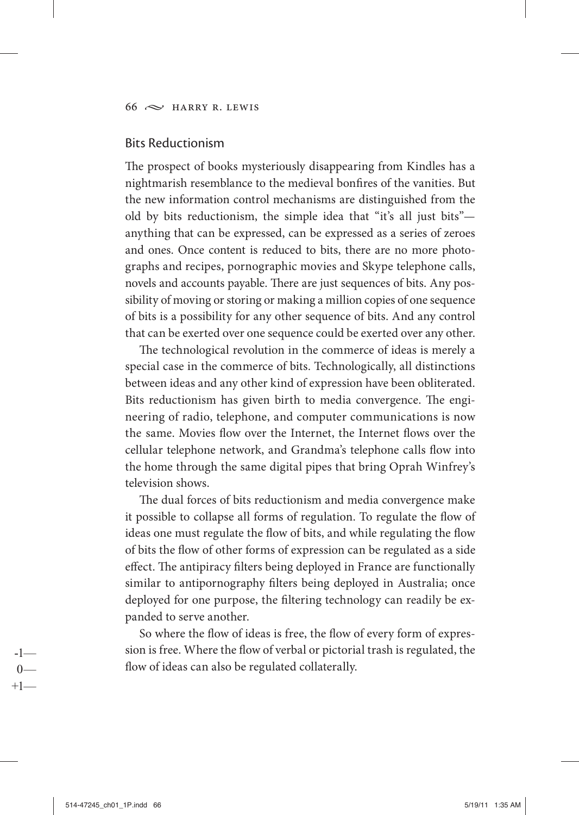# Bits Reductionism

The prospect of books mysteriously disappearing from Kindles has a nightmarish resemblance to the medieval bonfires of the vanities. But the new information control mechanisms are distinguished from the old by bits reductionism, the simple idea that "it's all just bits" anything that can be expressed, can be expressed as a series of zeroes and ones. Once content is reduced to bits, there are no more photographs and recipes, pornographic movies and Skype telephone calls, novels and accounts payable. There are just sequences of bits. Any possibility of moving or storing or making a million copies of one sequence of bits is a possibility for any other sequence of bits. And any control that can be exerted over one sequence could be exerted over any other.

The technological revolution in the commerce of ideas is merely a special case in the commerce of bits. Technologically, all distinctions between ideas and any other kind of expression have been obliterated. Bits reductionism has given birth to media convergence. The engineering of radio, telephone, and computer communications is now the same. Movies flow over the Internet, the Internet flows over the cellular telephone network, and Grandma's telephone calls flow into the home through the same digital pipes that bring Oprah Winfrey's television shows.

The dual forces of bits reductionism and media convergence make it possible to collapse all forms of regulation. To regulate the flow of ideas one must regulate the flow of bits, and while regulating the flow of bits the flow of other forms of expression can be regulated as a side effect. The antipiracy filters being deployed in France are functionally similar to antipornography filters being deployed in Australia; once deployed for one purpose, the filtering technology can readily be expanded to serve another.

So where the flow of ideas is free, the flow of every form of expression is free. Where the flow of verbal or pictorial trash is regulated, the flow of ideas can also be regulated collaterally.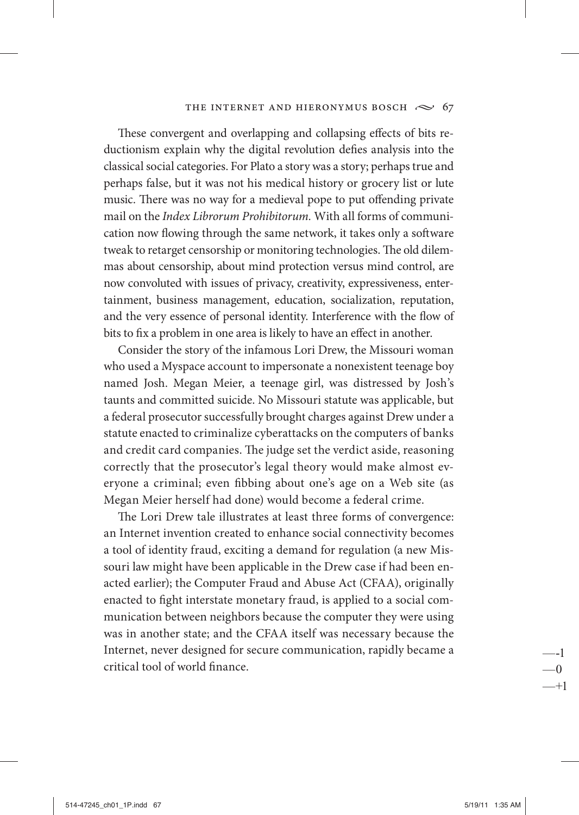## THE INTERNET AND HIERONYMUS BOSCH  $\sim$  67

These convergent and overlapping and collapsing effects of bits reductionism explain why the digital revolution defies analysis into the classical social categories. For Plato a story was a story; perhaps true and perhaps false, but it was not his medical history or grocery list or lute music. There was no way for a medieval pope to put offending private mail on the Index Librorum Prohibitorum. With all forms of communication now flowing through the same network, it takes only a software tweak to retarget censorship or monitoring technologies. The old dilemmas about censorship, about mind protection versus mind control, are now convoluted with issues of privacy, creativity, expressiveness, entertainment, business management, education, socialization, reputation, and the very essence of personal identity. Interference with the flow of bits to fix a problem in one area is likely to have an effect in another.

Consider the story of the infamous Lori Drew, the Missouri woman who used a Myspace account to impersonate a nonexistent teenage boy named Josh. Megan Meier, a teenage girl, was distressed by Josh's taunts and committed suicide. No Missouri statute was applicable, but a federal prosecutor successfully brought charges against Drew under a statute enacted to criminalize cyberattacks on the computers of banks and credit card companies. The judge set the verdict aside, reasoning correctly that the prosecutor's legal theory would make almost everyone a criminal; even fibbing about one's age on a Web site (as Megan Meier herself had done) would become a federal crime.

The Lori Drew tale illustrates at least three forms of convergence: an Internet invention created to enhance social connectivity becomes a tool of identity fraud, exciting a demand for regulation (a new Missouri law might have been applicable in the Drew case if had been enacted earlier); the Computer Fraud and Abuse Act (CFAA), originally enacted to fight interstate monetary fraud, is applied to a social communication between neighbors because the computer they were using was in another state; and the CFAA itself was necessary because the Internet, never designed for secure communication, rapidly became a critical tool of world finance.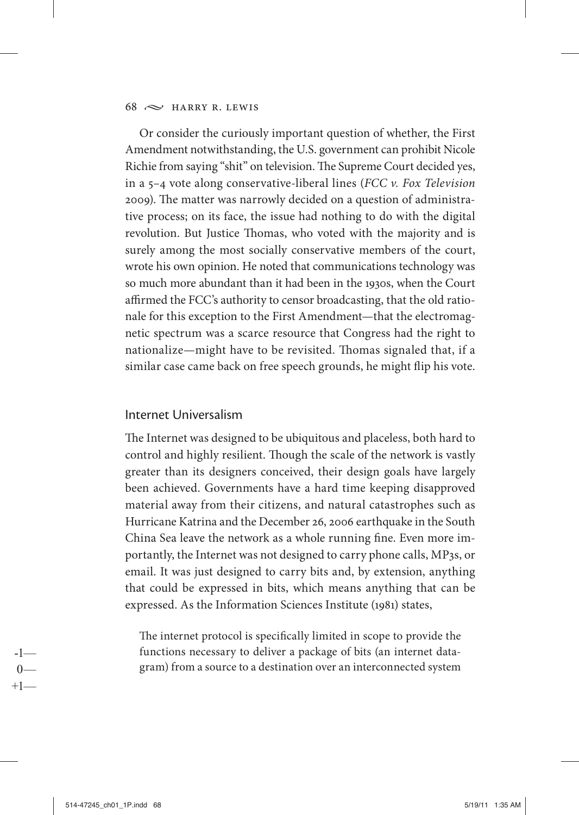Or consider the curiously important question of whether, the First Amendment notwithstanding, the U.S. government can prohibit Nicole Richie from saying "shit" on television. The Supreme Court decided yes, in a  $5-4$  vote along conservative-liberal lines (FCC v. Fox Television 2009). The matter was narrowly decided on a question of administrative process; on its face, the issue had nothing to do with the digital revolution. But Justice Thomas, who voted with the majority and is surely among the most socially conservative members of the court, wrote his own opinion. He noted that communications technology was so much more abundant than it had been in the 1930s, when the Court affirmed the FCC's authority to censor broadcasting, that the old rationale for this exception to the First Amendment— that the electromagnetic spectrum was a scarce resource that Congress had the right to nationalize—might have to be revisited. Thomas signaled that, if a similar case came back on free speech grounds, he might flip his vote.

## Internet Universalism

The Internet was designed to be ubiquitous and placeless, both hard to control and highly resilient. Though the scale of the network is vastly greater than its designers conceived, their design goals have largely been achieved. Governments have a hard time keeping disapproved material away from their citizens, and natural catastrophes such as Hurricane Katrina and the December 26, 2006 earthquake in the South China Sea leave the network as a whole running fine. Even more importantly, the Internet was not designed to carry phone calls, MP3s, or email. It was just designed to carry bits and, by extension, anything that could be expressed in bits, which means anything that can be expressed. As the Information Sciences Institute (1981) states,

The internet protocol is specifically limited in scope to provide the functions necessary to deliver a package of bits (an internet datagram) from a source to a destination over an interconnected system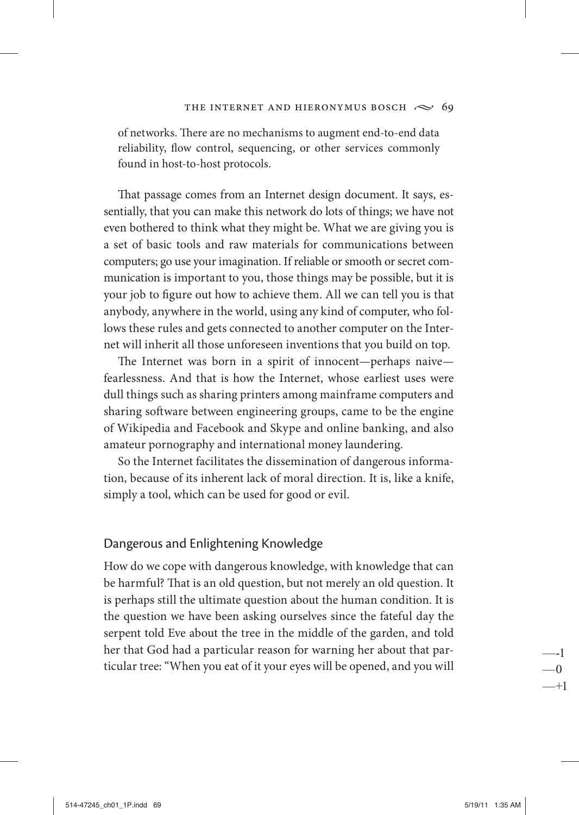#### THE INTERNET AND HIERONYMUS BOSCH  $\sim$  69

of networks. There are no mechanisms to augment end-to-end data reliability, flow control, sequencing, or other services commonly found in host-to-host protocols.

That passage comes from an Internet design document. It says, essentially, that you can make this network do lots of things; we have not even bothered to think what they might be. What we are giving you is a set of basic tools and raw materials for communications between computers; go use your imagination. If reliable or smooth or secret communication is important to you, those things may be possible, but it is your job to figure out how to achieve them. All we can tell you is that anybody, anywhere in the world, using any kind of computer, who follows these rules and gets connected to another computer on the Internet will inherit all those unforeseen inventions that you build on top.

The Internet was born in a spirit of innocent—perhaps naive fearlessness. And that is how the Internet, whose earliest uses were dull things such as sharing printers among mainframe computers and sharing software between engineering groups, came to be the engine of Wikipedia and Facebook and Skype and online banking, and also amateur pornography and international money laundering.

So the Internet facilitates the dissemination of dangerous information, because of its inherent lack of moral direction. It is, like a knife, simply a tool, which can be used for good or evil.

## Dangerous and Enlightening Knowledge

How do we cope with dangerous knowledge, with knowledge that can be harmful? That is an old question, but not merely an old question. It is perhaps still the ultimate question about the human condition. It is the question we have been asking ourselves since the fateful day the serpent told Eve about the tree in the middle of the garden, and told her that God had a particular reason for warning her about that particular tree: "When you eat of it your eyes will be opened, and you will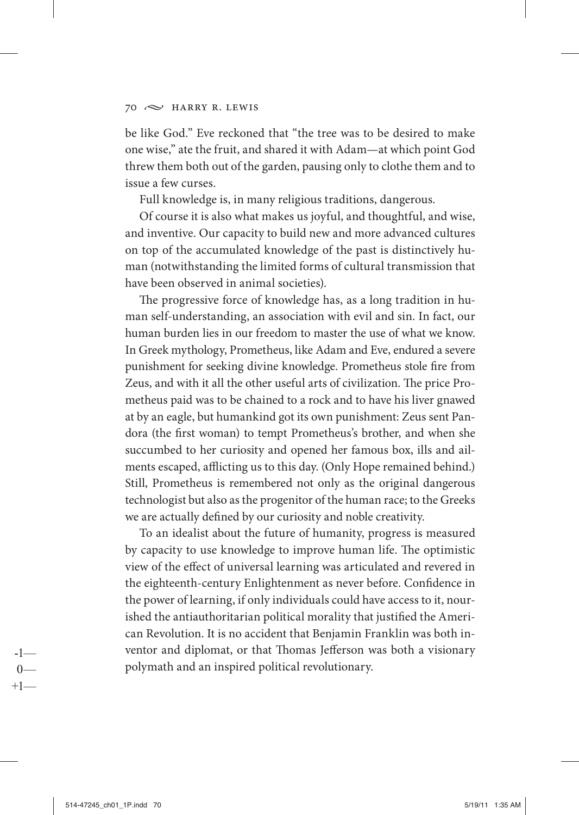## 70  $\sim$  HARRY R. LEWIS

be like God." Eve reckoned that "the tree was to be desired to make one wise," ate the fruit, and shared it with Adam— at which point God threw them both out of the garden, pausing only to clothe them and to issue a few curses.

Full knowledge is, in many religious traditions, dangerous.

Of course it is also what makes us joyful, and thoughtful, and wise, and inventive. Our capacity to build new and more advanced cultures on top of the accumulated knowledge of the past is distinctively human (notwithstanding the limited forms of cultural transmission that have been observed in animal societies).

The progressive force of knowledge has, as a long tradition in human self-understanding, an association with evil and sin. In fact, our human burden lies in our freedom to master the use of what we know. In Greek mythology, Prometheus, like Adam and Eve, endured a severe punishment for seeking divine knowledge. Prometheus stole fire from Zeus, and with it all the other useful arts of civilization. The price Prometheus paid was to be chained to a rock and to have his liver gnawed at by an eagle, but humankind got its own punishment: Zeus sent Pandora (the first woman) to tempt Prometheus's brother, and when she succumbed to her curiosity and opened her famous box, ills and ailments escaped, afflicting us to this day. (Only Hope remained behind.) Still, Prometheus is remembered not only as the original dangerous technologist but also as the progenitor of the human race; to the Greeks we are actually defined by our curiosity and noble creativity.

To an idealist about the future of humanity, progress is measured by capacity to use knowledge to improve human life. The optimistic view of the effect of universal learning was articulated and revered in the eighteenth-century Enlightenment as never before. Confidence in the power of learning, if only individuals could have access to it, nourished the antiauthoritarian political morality that justified the American Revolution. It is no accident that Benjamin Franklin was both inventor and diplomat, or that Thomas Jefferson was both a visionary polymath and an inspired political revolutionary.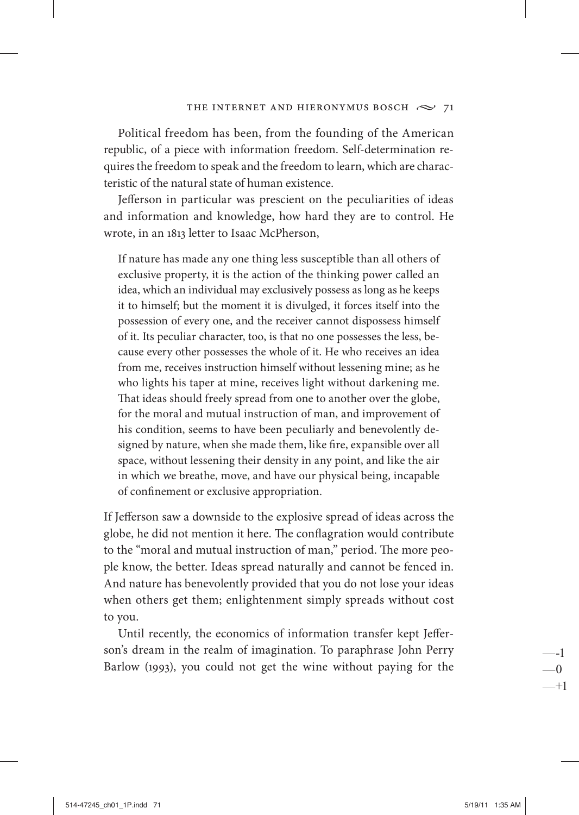Political freedom has been, from the founding of the American republic, of a piece with information freedom. Self- determination requires the freedom to speak and the freedom to learn, which are characteristic of the natural state of human existence.

Jefferson in particular was prescient on the peculiarities of ideas and information and knowledge, how hard they are to control. He wrote, in an 1813 letter to Isaac McPherson,

If nature has made any one thing less susceptible than all others of exclusive property, it is the action of the thinking power called an idea, which an individual may exclusively possess as long as he keeps it to himself; but the moment it is divulged, it forces itself into the possession of every one, and the receiver cannot dispossess himself of it. Its peculiar character, too, is that no one possesses the less, because every other possesses the whole of it. He who receives an idea from me, receives instruction himself without lessening mine; as he who lights his taper at mine, receives light without darkening me. That ideas should freely spread from one to another over the globe, for the moral and mutual instruction of man, and improvement of his condition, seems to have been peculiarly and benevolently designed by nature, when she made them, like fire, expansible over all space, without lessening their density in any point, and like the air in which we breathe, move, and have our physical being, incapable of confinement or exclusive appropriation.

If Jefferson saw a downside to the explosive spread of ideas across the globe, he did not mention it here. The conflagration would contribute to the "moral and mutual instruction of man," period. The more people know, the better. Ideas spread naturally and cannot be fenced in. And nature has benevolently provided that you do not lose your ideas when others get them; enlightenment simply spreads without cost to you.

Until recently, the economics of information transfer kept Jefferson's dream in the realm of imagination. To paraphrase John Perry Barlow (1993), you could not get the wine without paying for the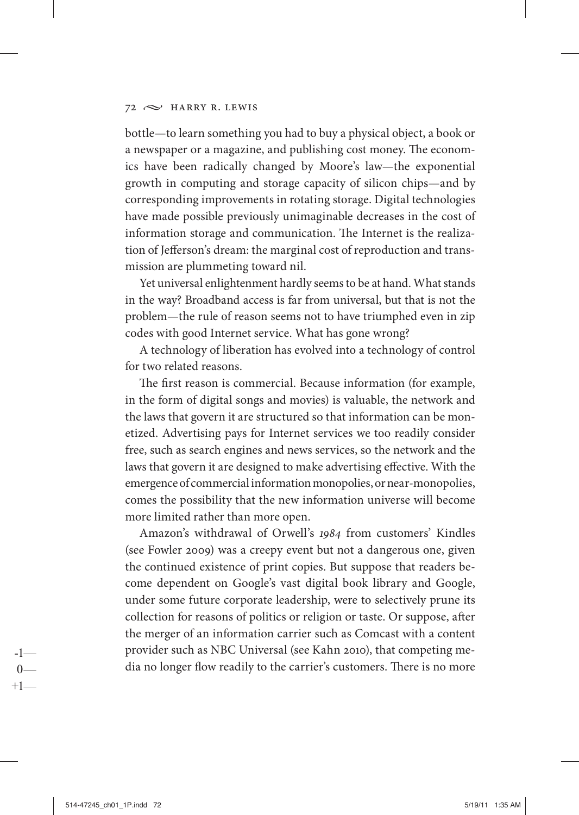## 72  $\sim$  HARRY R. LEWIS

 bottle— to learn something you had to buy a physical object, a book or a newspaper or a magazine, and publishing cost money. The economics have been radically changed by Moore's law— the exponential growth in computing and storage capacity of silicon chips— and by corresponding improvements in rotating storage. Digital technologies have made possible previously unimaginable decreases in the cost of information storage and communication. The Internet is the realization of Jefferson's dream: the marginal cost of reproduction and transmission are plummeting toward nil.

Yet universal enlightenment hardly seems to be at hand. What stands in the way? Broadband access is far from universal, but that is not the problem— the rule of reason seems not to have triumphed even in zip codes with good Internet service. What has gone wrong?

A technology of liberation has evolved into a technology of control for two related reasons.

The first reason is commercial. Because information (for example, in the form of digital songs and movies) is valuable, the network and the laws that govern it are structured so that information can be monetized. Advertising pays for Internet services we too readily consider free, such as search engines and news services, so the network and the laws that govern it are designed to make advertising effective. With the emergence of commercial information monopolies, or near- monopolies, comes the possibility that the new information universe will become more limited rather than more open.

Amazon's withdrawal of Orwell's 1984 from customers' Kindles (see Fowler 2009) was a creepy event but not a dangerous one, given the continued existence of print copies. But suppose that readers become dependent on Google's vast digital book library and Google, under some future corporate leadership, were to selectively prune its collection for reasons of politics or religion or taste. Or suppose, after the merger of an information carrier such as Comcast with a content provider such as NBC Universal (see Kahn 2010), that competing media no longer flow readily to the carrier's customers. There is no more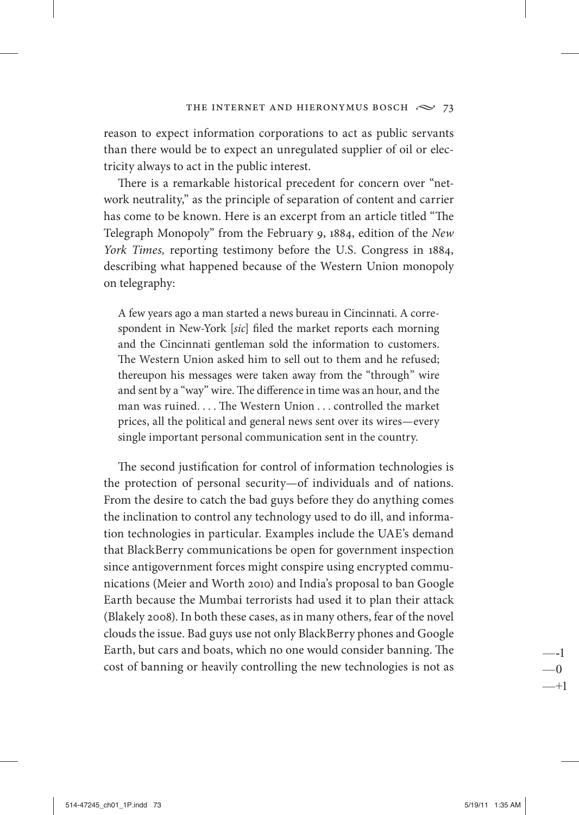reason to expect information corporations to act as public servants than there would be to expect an unregulated supplier of oil or electricity always to act in the public interest.

There is a remarkable historical precedent for concern over "network neutrality," as the principle of separation of content and carrier has come to be known. Here is an excerpt from an article titled "The Telegraph Monopoly" from the February 9, 1884, edition of the New York Times, reporting testimony before the U.S. Congress in 1884, describing what happened because of the Western Union monopoly on telegraphy:

A few years ago a man started a news bureau in Cincinnati. A correspondent in New-York [sic] filed the market reports each morning and the Cincinnati gentleman sold the information to customers. The Western Union asked him to sell out to them and he refused; thereupon his messages were taken away from the "through" wire and sent by a "way" wire. The difference in time was an hour, and the man was ruined.... The Western Union ... controlled the market prices, all the political and general news sent over its wires—every single important personal communication sent in the country.

The second justification for control of information technologies is the protection of personal security— of individuals and of nations. From the desire to catch the bad guys before they do anything comes the inclination to control any technology used to do ill, and information technologies in particular. Examples include the UAE's demand that BlackBerry communications be open for government inspection since antigovernment forces might conspire using encrypted communications (Meier and Worth 2010) and India's proposal to ban Google Earth because the Mumbai terrorists had used it to plan their attack (Blakely 2008). In both these cases, as in many others, fear of the novel clouds the issue. Bad guys use not only BlackBerry phones and Google Earth, but cars and boats, which no one would consider banning. The cost of banning or heavily controlling the new technologies is not as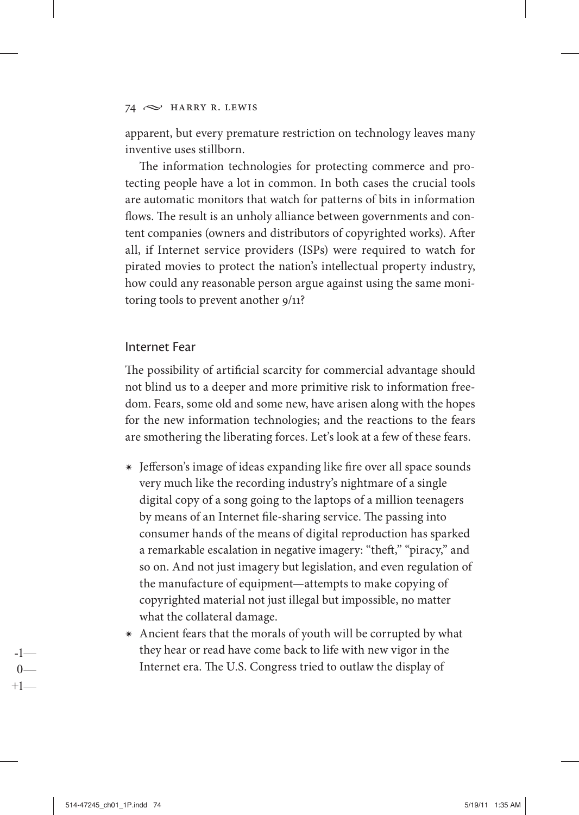## 74  $\sim$  HARRY R. LEWIS

apparent, but every premature restriction on technology leaves many inventive uses stillborn.

The information technologies for protecting commerce and protecting people have a lot in common. In both cases the crucial tools are automatic monitors that watch for patterns of bits in information flows. The result is an unholy alliance between governments and content companies (owners and distributors of copyrighted works). After all, if Internet service providers (ISPs) were required to watch for pirated movies to protect the nation's intellectual property industry, how could any reasonable person argue against using the same monitoring tools to prevent another 9/11?

## Internet Fear

The possibility of artificial scarcity for commercial advantage should not blind us to a deeper and more primitive risk to information freedom. Fears, some old and some new, have arisen along with the hopes for the new information technologies; and the reactions to the fears are smothering the liberating forces. Let's look at a few of these fears.

- \* Jefferson's image of ideas expanding like fire over all space sounds very much like the recording industry's nightmare of a single digital copy of a song going to the laptops of a million teenagers by means of an Internet file-sharing service. The passing into consumer hands of the means of digital reproduction has sparked a remarkable escalation in negative imagery: "theft," "piracy," and so on. And not just imagery but legislation, and even regulation of the manufacture of equipment— attempts to make copying of copyrighted material not just illegal but impossible, no matter what the collateral damage.
- \* Ancient fears that the morals of youth will be corrupted by what they hear or read have come back to life with new vigor in the Internet era. The U.S. Congress tried to outlaw the display of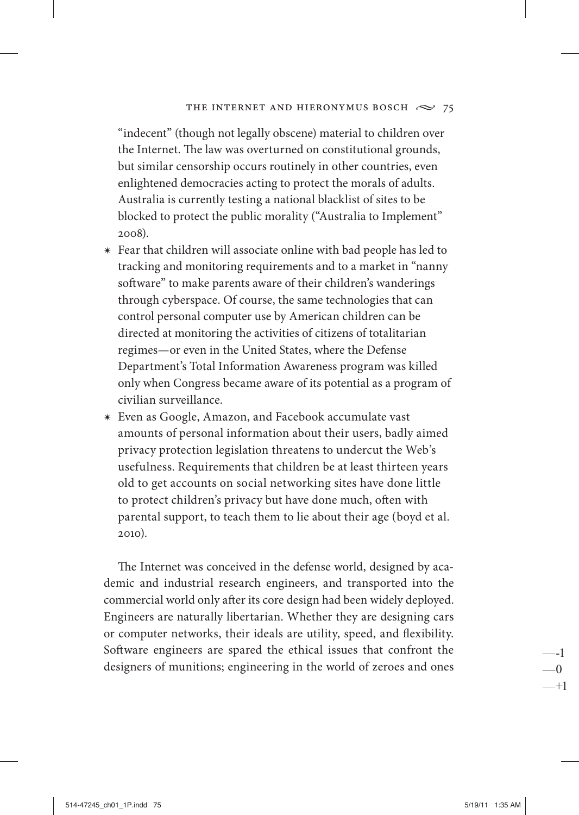"indecent" (though not legally obscene) material to children over the Internet. The law was overturned on constitutional grounds, but similar censorship occurs routinely in other countries, even enlightened democracies acting to protect the morals of adults. Australia is currently testing a national blacklist of sites to be blocked to protect the public morality ("Australia to Implement" 2008).

- \* Fear that children will associate online with bad people has led to tracking and monitoring requirements and to a market in "nanny software" to make parents aware of their children's wanderings through cyberspace. Of course, the same technologies that can control personal computer use by American children can be directed at monitoring the activities of citizens of totalitarian regimes— or even in the United States, where the Defense Department's Total Information Awareness program was killed only when Congress became aware of its potential as a program of civilian surveillance.
- \* Even as Google, Amazon, and Facebook accumulate vast amounts of personal information about their users, badly aimed privacy protection legislation threatens to undercut the Web's usefulness. Requirements that children be at least thirteen years old to get accounts on social networking sites have done little to protect children's privacy but have done much, often with parental support, to teach them to lie about their age (boyd et al. 2010).

The Internet was conceived in the defense world, designed by academic and industrial research engineers, and transported into the commercial world only after its core design had been widely deployed. Engineers are naturally libertarian. Whether they are designing cars or computer networks, their ideals are utility, speed, and flexibility. Software engineers are spared the ethical issues that confront the designers of munitions; engineering in the world of zeroes and ones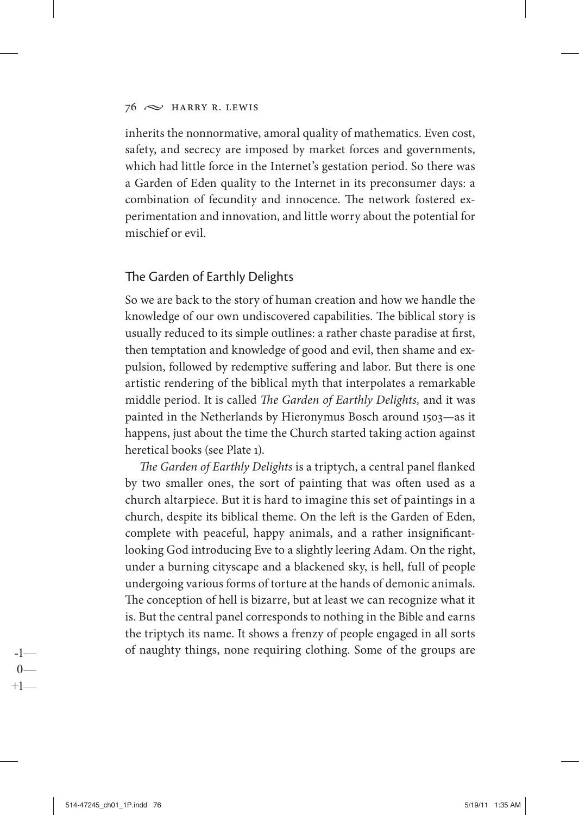inherits the nonnormative, amoral quality of mathematics. Even cost, safety, and secrecy are imposed by market forces and governments, which had little force in the Internet's gestation period. So there was a Garden of Eden quality to the Internet in its preconsumer days: a combination of fecundity and innocence. The network fostered experimentation and innovation, and little worry about the potential for mischief or evil.

## The Garden of Earthly Delights

So we are back to the story of human creation and how we handle the knowledge of our own undiscovered capabilities. The biblical story is usually reduced to its simple outlines: a rather chaste paradise at first, then temptation and knowledge of good and evil, then shame and expulsion, followed by redemptive suffering and labor. But there is one artistic rendering of the biblical myth that interpolates a remarkable middle period. It is called The Garden of Earthly Delights, and it was painted in the Netherlands by Hieronymus Bosch around 1503— as it happens, just about the time the Church started taking action against heretical books (see Plate 1).

The Garden of Earthly Delights is a triptych, a central panel flanked by two smaller ones, the sort of painting that was often used as a church altarpiece. But it is hard to imagine this set of paintings in a church, despite its biblical theme. On the left is the Garden of Eden, complete with peaceful, happy animals, and a rather insignificantlooking God introducing Eve to a slightly leering Adam. On the right, under a burning cityscape and a blackened sky, is hell, full of people undergoing various forms of torture at the hands of demonic animals. The conception of hell is bizarre, but at least we can recognize what it is. But the central panel corresponds to nothing in the Bible and earns the triptych its name. It shows a frenzy of people engaged in all sorts of naughty things, none requiring clothing. Some of the groups are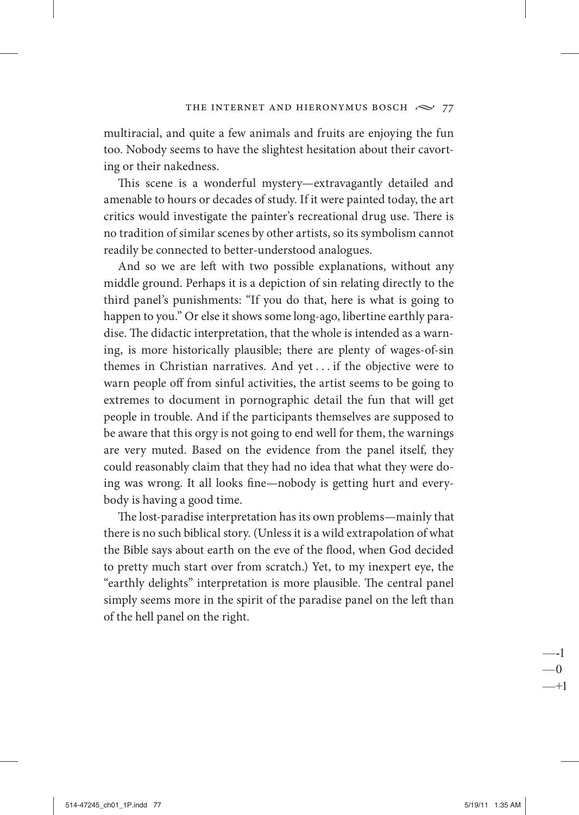multiracial, and quite a few animals and fruits are enjoying the fun too. Nobody seems to have the slightest hesitation about their cavorting or their nakedness.

This scene is a wonderful mystery—extravagantly detailed and amenable to hours or decades of study. If it were painted today, the art critics would investigate the painter's recreational drug use. There is no tradition of similar scenes by other artists, so its symbolism cannot readily be connected to better- understood analogues.

And so we are left with two possible explanations, without any middle ground. Perhaps it is a depiction of sin relating directly to the third panel's punishments: "If you do that, here is what is going to happen to you." Or else it shows some long-ago, libertine earthly paradise. The didactic interpretation, that the whole is intended as a warning, is more historically plausible; there are plenty of wages-of-sin themes in Christian narratives. And yet . . . if the objective were to warn people off from sinful activities, the artist seems to be going to extremes to document in pornographic detail the fun that will get people in trouble. And if the participants themselves are supposed to be aware that this orgy is not going to end well for them, the warnings are very muted. Based on the evidence from the panel itself, they could reasonably claim that they had no idea that what they were doing was wrong. It all looks fine—nobody is getting hurt and everybody is having a good time.

The lost-paradise interpretation has its own problems—mainly that there is no such biblical story. (Unless it is a wild extrapolation of what the Bible says about earth on the eve of the flood, when God decided to pretty much start over from scratch.) Yet, to my inexpert eye, the "earthly delights" interpretation is more plausible. The central panel simply seems more in the spirit of the paradise panel on the left than of the hell panel on the right.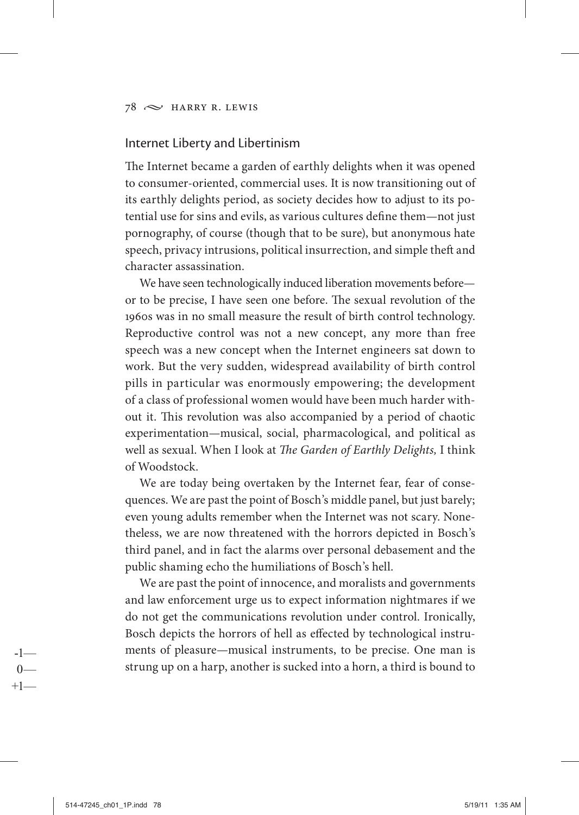# Internet Liberty and Libertinism

The Internet became a garden of earthly delights when it was opened to consumer- oriented, commercial uses. It is now transitioning out of its earthly delights period, as society decides how to adjust to its potential use for sins and evils, as various cultures define them—not just pornography, of course (though that to be sure), but anonymous hate speech, privacy intrusions, political insurrection, and simple theft and character assassination.

We have seen technologically induced liberation movements before or to be precise, I have seen one before. The sexual revolution of the 1960s was in no small measure the result of birth control technology. Reproductive control was not a new concept, any more than free speech was a new concept when the Internet engineers sat down to work. But the very sudden, widespread availability of birth control pills in particular was enormously empowering; the development of a class of professional women would have been much harder without it. This revolution was also accompanied by a period of chaotic experimentation—musical, social, pharmacological, and political as well as sexual. When I look at The Garden of Earthly Delights, I think of Woodstock.

We are today being overtaken by the Internet fear, fear of consequences. We are past the point of Bosch's middle panel, but just barely; even young adults remember when the Internet was not scary. Nonetheless, we are now threatened with the horrors depicted in Bosch's third panel, and in fact the alarms over personal debasement and the public shaming echo the humiliations of Bosch's hell.

We are past the point of innocence, and moralists and governments and law enforcement urge us to expect information nightmares if we do not get the communications revolution under control. Ironically, Bosch depicts the horrors of hell as effected by technological instruments of pleasure— musical instruments, to be precise. One man is strung up on a harp, another is sucked into a horn, a third is bound to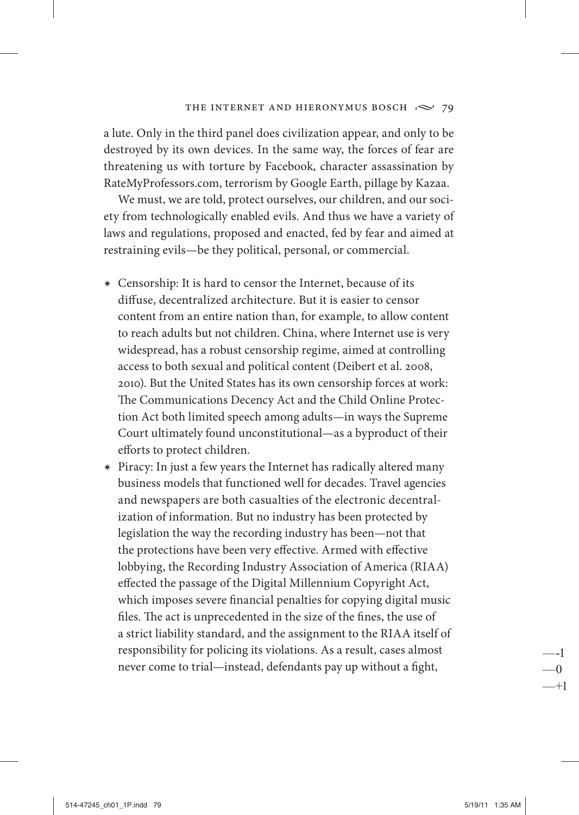#### THE INTERNET AND HIERONYMUS BOSCH  $\sim$  79

a lute. Only in the third panel does civilization appear, and only to be destroyed by its own devices. In the same way, the forces of fear are threatening us with torture by Facebook, character assassination by RateMyProfessors .com, terrorism by Google Earth, pillage by Kazaa.

We must, we are told, protect ourselves, our children, and our society from technologically enabled evils. And thus we have a variety of laws and regulations, proposed and enacted, fed by fear and aimed at restraining evils—be they political, personal, or commercial.

- \* Censorship: It is hard to censor the Internet, because of its diffuse, decentralized architecture. But it is easier to censor content from an entire nation than, for example, to allow content to reach adults but not children. China, where Internet use is very widespread, has a robust censorship regime, aimed at controlling access to both sexual and political content (Deibert et al. 2008, 2010). But the United States has its own censorship forces at work: The Communications Decency Act and the Child Online Protection Act both limited speech among adults— in ways the Supreme Court ultimately found unconstitutional— as a byproduct of their efforts to protect children.
- $*$  Piracy: In just a few years the Internet has radically altered many business models that functioned well for decades. Travel agencies and newspapers are both casualties of the electronic decentralization of information. But no industry has been protected by legislation the way the recording industry has been— not that the protections have been very effective. Armed with effective lobbying, the Recording Industry Association of America (RIAA) effected the passage of the Digital Millennium Copyright Act, which imposes severe financial penalties for copying digital music files. The act is unprecedented in the size of the fines, the use of a strict liability standard, and the assignment to the RIAA itself of responsibility for policing its violations. As a result, cases almost never come to trial—instead, defendants pay up without a fight,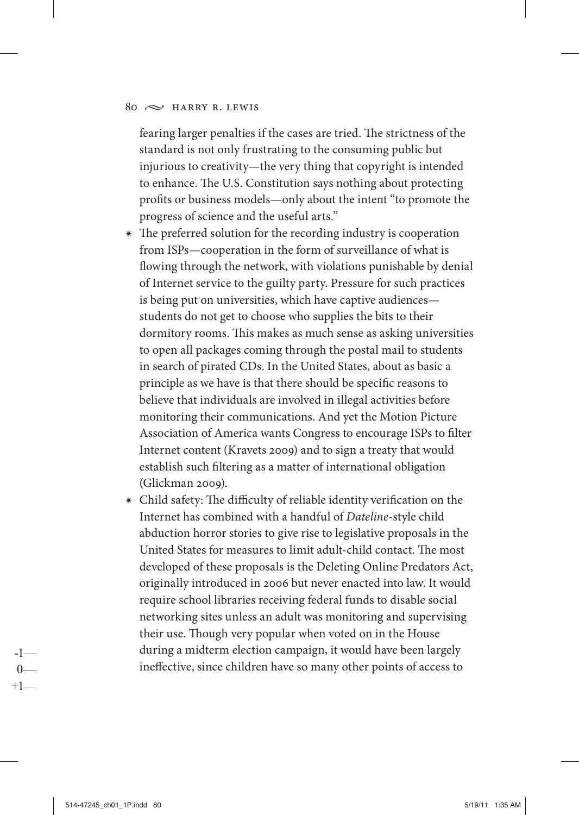fearing larger penalties if the cases are tried. The strictness of the standard is not only frustrating to the consuming public but injurious to creativity— the very thing that copyright is intended to enhance. The U.S. Constitution says nothing about protecting profits or business models—only about the intent "to promote the progress of science and the useful arts."

- $*$  The preferred solution for the recording industry is cooperation from ISPs— cooperation in the form of surveillance of what is flowing through the network, with violations punishable by denial of Internet ser vice to the guilty party. Pressure for such practices is being put on universities, which have captive audiences students do not get to choose who supplies the bits to their dormitory rooms. This makes as much sense as asking universities to open all packages coming through the postal mail to students in search of pirated CDs. In the United States, about as basic a principle as we have is that there should be specific reasons to believe that individuals are involved in illegal activities before monitoring their communications. And yet the Motion Picture Association of America wants Congress to encourage ISPs to filter Internet content (Kravets 2009) and to sign a treaty that would establish such filtering as a matter of international obligation (Glickman 2009).
- $*$  Child safety: The difficulty of reliable identity verification on the Internet has combined with a handful of Dateline- style child abduction horror stories to give rise to legislative proposals in the United States for measures to limit adult-child contact. The most developed of these proposals is the Deleting Online Predators Act, originally introduced in 2006 but never enacted into law. It would require school libraries receiving federal funds to disable social networking sites unless an adult was monitoring and supervising their use. Though very popular when voted on in the House during a midterm election campaign, it would have been largely in effective, since children have so many other points of access to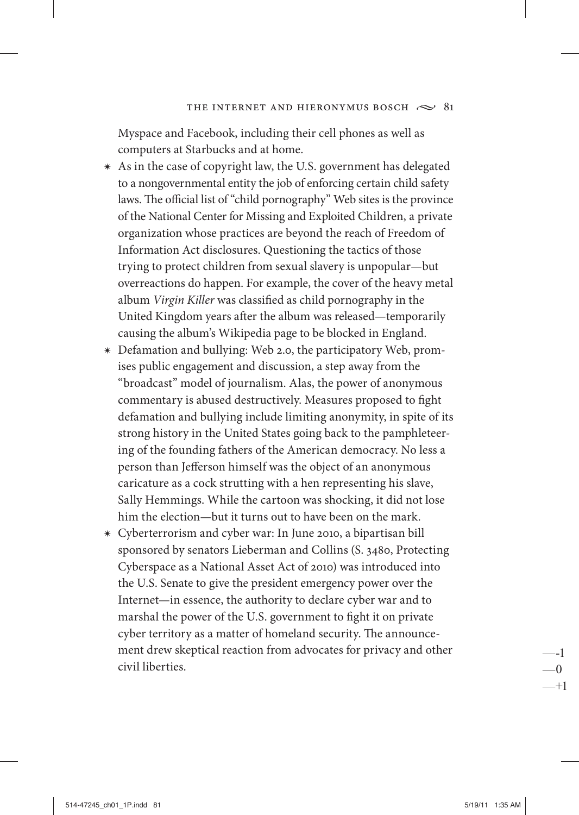Myspace and Facebook, including their cell phones as well as computers at Starbucks and at home.

- $*$  As in the case of copyright law, the U.S. government has delegated to a nongovernmental entity the job of enforcing certain child safety laws. The official list of "child pornography" Web sites is the province of the National Center for Missing and Exploited Children, a private organization whose practices are beyond the reach of Freedom of Information Act disclosures. Questioning the tactics of those trying to protect children from sexual slavery is unpopular— but overreactions do happen. For example, the cover of the heavy metal album Virgin Killer was classified as child pornography in the United Kingdom years after the album was released—temporarily causing the album's Wikipedia page to be blocked in England.
- \* Defamation and bullying: Web 2.0, the participatory Web, promises public engagement and discussion, a step away from the "broadcast" model of journalism. Alas, the power of anonymous commentary is abused destructively. Measures proposed to fight defamation and bullying include limiting anonymity, in spite of its strong history in the United States going back to the pamphleteering of the founding fathers of the American democracy. No less a person than Jefferson himself was the object of an anonymous caricature as a cock strutting with a hen representing his slave, Sally Hemmings. While the cartoon was shocking, it did not lose him the election—but it turns out to have been on the mark.
- \* Cyberterrorism and cyber war: In June 2010, a bipartisan bill sponsored by senators Lieberman and Collins (S. 3480, Protecting Cyberspace as a National Asset Act of 2010) was introduced into the U.S. Senate to give the president emergency power over the Internet—in essence, the authority to declare cyber war and to marshal the power of the U.S. government to fight it on private cyber territory as a matter of homeland security. The announcement drew skeptical reaction from advocates for privacy and other civil liberties.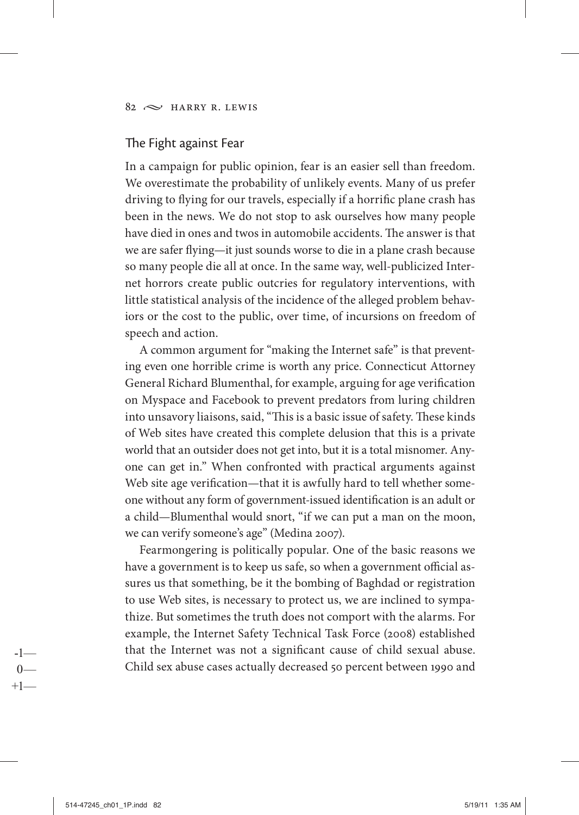# The Fight against Fear

In a campaign for public opinion, fear is an easier sell than freedom. We overestimate the probability of unlikely events. Many of us prefer driving to flying for our travels, especially if a horrific plane crash has been in the news. We do not stop to ask ourselves how many people have died in ones and twos in automobile accidents. The answer is that we are safer flying—it just sounds worse to die in a plane crash because so many people die all at once. In the same way, well-publicized Internet horrors create public outcries for regulatory interventions, with little statistical analysis of the incidence of the alleged problem behaviors or the cost to the public, over time, of incursions on freedom of speech and action.

A common argument for "making the Internet safe" is that preventing even one horrible crime is worth any price. Connecticut Attorney General Richard Blumenthal, for example, arguing for age verification on Myspace and Facebook to prevent predators from luring children into unsavory liaisons, said, "This is a basic issue of safety. These kinds of Web sites have created this complete delusion that this is a private world that an outsider does not get into, but it is a total misnomer. Anyone can get in." When confronted with practical arguments against Web site age verification—that it is awfully hard to tell whether someone without any form of government-issued identification is an adult or a child— Blumenthal would snort, "if we can put a man on the moon, we can verify someone's age" (Medina 2007).

Fearmongering is politically popular. One of the basic reasons we have a government is to keep us safe, so when a government official assures us that something, be it the bombing of Baghdad or registration to use Web sites, is necessary to protect us, we are inclined to sympathize. But sometimes the truth does not comport with the alarms. For example, the Internet Safety Technical Task Force (2008) established that the Internet was not a significant cause of child sexual abuse. Child sex abuse cases actually decreased 50 percent between 1990 and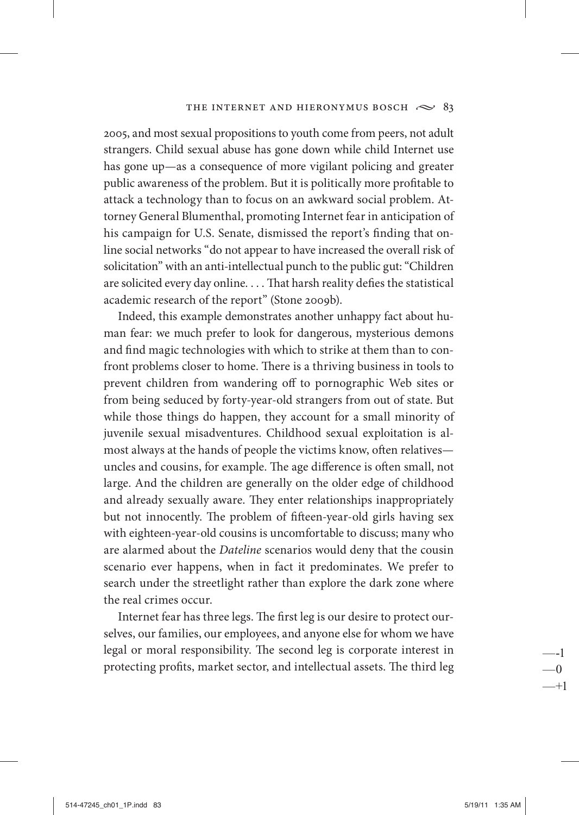## THE INTERNET AND HIERONYMUS BOSCH  $\approx$  83

2005, and most sexual propositions to youth come from peers, not adult strangers. Child sexual abuse has gone down while child Internet use has gone up—as a consequence of more vigilant policing and greater public awareness of the problem. But it is politically more profitable to attack a technology than to focus on an awkward social problem. Attorney General Blumenthal, promoting Internet fear in anticipation of his campaign for U.S. Senate, dismissed the report's finding that online social networks "do not appear to have increased the overall risk of solicitation" with an anti-intellectual punch to the public gut: "Children are solicited every day online.  $\dots$  That harsh reality defies the statistical academic research of the report" (Stone 2009b).

Indeed, this example demonstrates another unhappy fact about human fear: we much prefer to look for dangerous, mysterious demons and find magic technologies with which to strike at them than to confront problems closer to home. There is a thriving business in tools to prevent children from wandering of to pornographic Web sites or from being seduced by forty-year-old strangers from out of state. But while those things do happen, they account for a small minority of juvenile sexual misadventures. Childhood sexual exploitation is almost always at the hands of people the victims know, often relatives uncles and cousins, for example. The age difference is often small, not large. And the children are generally on the older edge of childhood and already sexually aware. They enter relationships inappropriately but not innocently. The problem of fifteen-year-old girls having sex with eighteen-year-old cousins is uncomfortable to discuss; many who are alarmed about the Dateline scenarios would deny that the cousin scenario ever happens, when in fact it predominates. We prefer to search under the streetlight rather than explore the dark zone where the real crimes occur.

Internet fear has three legs. The first leg is our desire to protect ourselves, our families, our employees, and anyone else for whom we have legal or moral responsibility. The second leg is corporate interest in protecting profits, market sector, and intellectual assets. The third leg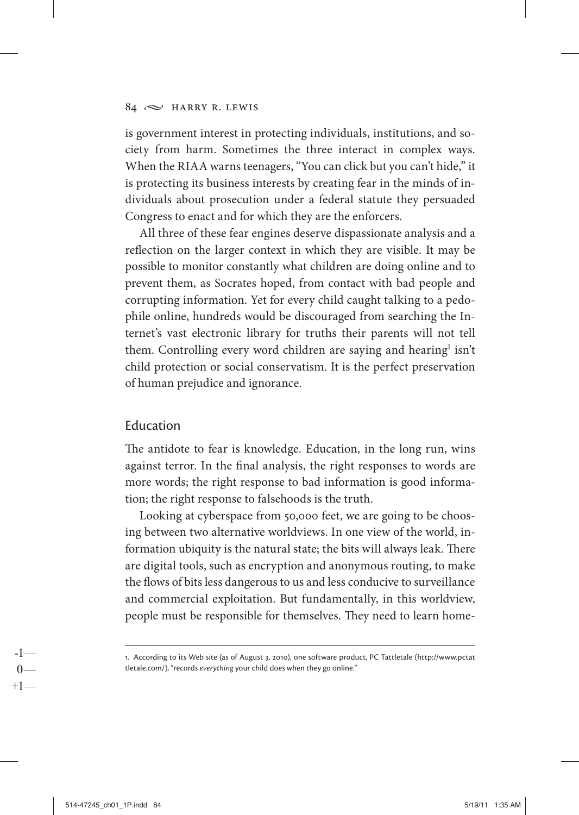is government interest in protecting individuals, institutions, and society from harm. Sometimes the three interact in complex ways. When the RIAA warns teenagers, "You can click but you can't hide," it is protecting its business interests by creating fear in the minds of individuals about prosecution under a federal statute they persuaded Congress to enact and for which they are the enforcers.

All three of these fear engines deserve dispassionate analysis and a reflection on the larger context in which they are visible. It may be possible to monitor constantly what children are doing online and to prevent them, as Socrates hoped, from contact with bad people and corrupting information. Yet for every child caught talking to a pedophile online, hundreds would be discouraged from searching the Internet's vast electronic library for truths their parents will not tell them. Controlling every word children are saying and hearing<sup>1</sup> isn't child protection or social conservatism. It is the perfect preservation of human prejudice and ignorance.

## Education

The antidote to fear is knowledge. Education, in the long run, wins against terror. In the final analysis, the right responses to words are more words; the right response to bad information is good information; the right response to falsehoods is the truth.

Looking at cyberspace from 50,000 feet, we are going to be choosing between two alternative worldviews. In one view of the world, information ubiquity is the natural state; the bits will always leak. There are digital tools, such as encryption and anonymous routing, to make the flows of bits less dangerous to us and less conducive to surveillance and commercial exploitation. But fundamentally, in this worldview, people must be responsible for themselves. They need to learn home-

1. According to its Web site (as of August 3, 2010), one software product, PC Tattletale ( http:// www .pctat tletale.com/), "records *everything* your child does when they go online."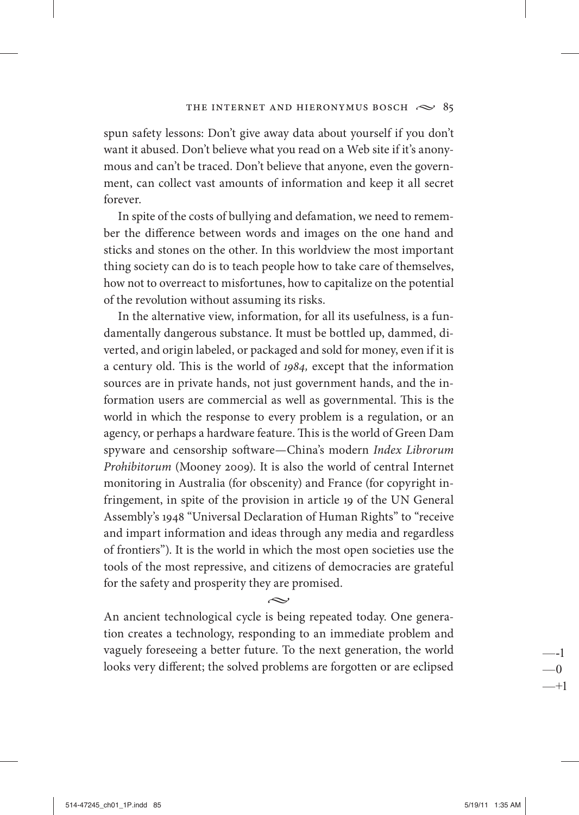spun safety lessons: Don't give away data about yourself if you don't want it abused. Don't believe what you read on a Web site if it's anonymous and can't be traced. Don't believe that anyone, even the government, can collect vast amounts of information and keep it all secret forever.

In spite of the costs of bullying and defamation, we need to remember the difference between words and images on the one hand and sticks and stones on the other. In this worldview the most important thing society can do is to teach people how to take care of themselves, how not to overreact to misfortunes, how to capitalize on the potential of the revolution without assuming its risks.

In the alternative view, information, for all its usefulness, is a fundamentally dangerous substance. It must be bottled up, dammed, diverted, and origin labeled, or packaged and sold for money, even if it is a century old. This is the world of  $1984$ , except that the information sources are in private hands, not just government hands, and the information users are commercial as well as governmental. This is the world in which the response to every problem is a regulation, or an agency, or perhaps a hardware feature. This is the world of Green Dam spyware and censorship software—China's modern Index Librorum Prohibitorum (Mooney 2009). It is also the world of central Internet monitoring in Australia (for obscenity) and France (for copyright infringement, in spite of the provision in article 19 of the UN General Assembly's 1948 "Universal Declaration of Human Rights" to "receive and impart information and ideas through any media and regardless of frontiers"). It is the world in which the most open societies use the tools of the most repressive, and citizens of democracies are grateful for the safety and prosperity they are promised.

An ancient technological cycle is being repeated today. One generation creates a technology, responding to an immediate problem and vaguely foreseeing a better future. To the next generation, the world looks very different; the solved problems are forgotten or are eclipsed

 $\approx$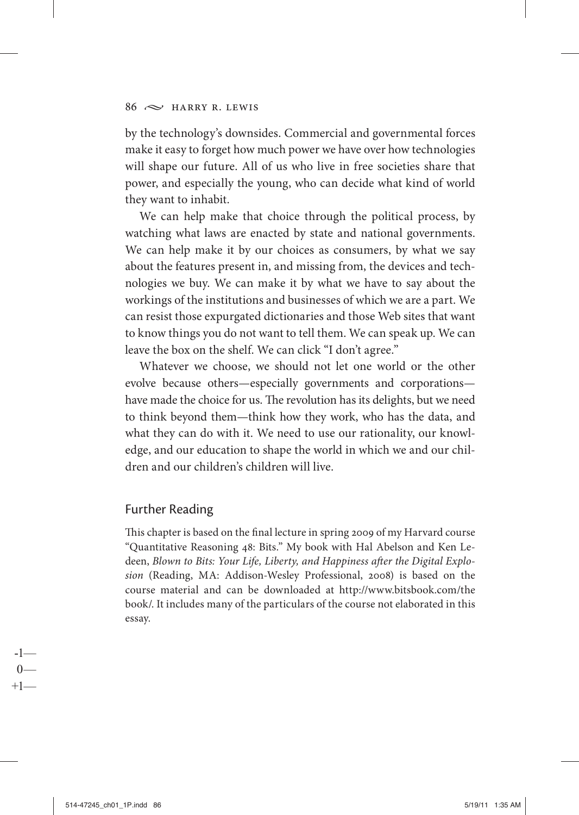by the technology's downsides. Commercial and governmental forces make it easy to forget how much power we have over how technologies will shape our future. All of us who live in free societies share that power, and especially the young, who can decide what kind of world they want to inhabit.

We can help make that choice through the political process, by watching what laws are enacted by state and national governments. We can help make it by our choices as consumers, by what we say about the features present in, and missing from, the devices and technologies we buy. We can make it by what we have to say about the workings of the institutions and businesses of which we are a part. We can resist those expurgated dictionaries and those Web sites that want to know things you do not want to tell them. We can speak up. We can leave the box on the shelf. We can click "I don't agree."

Whatever we choose, we should not let one world or the other evolve because others— especially governments and corporations have made the choice for us. The revolution has its delights, but we need to think beyond them— think how they work, who has the data, and what they can do with it. We need to use our rationality, our knowledge, and our education to shape the world in which we and our children and our children's children will live.

## Further Reading

This chapter is based on the final lecture in spring 2009 of my Harvard course "Quantitative Reasoning 48: Bits." My book with Hal Abelson and Ken Ledeen, Blown to Bits: Your Life, Liberty, and Happiness after the Digital Explosion (Reading, MA: Addison-Wesley Professional, 2008) is based on the course material and can be downloaded at http://www.bitsbook.com/the book/ . It includes many of the particulars of the course not elaborated in this essay.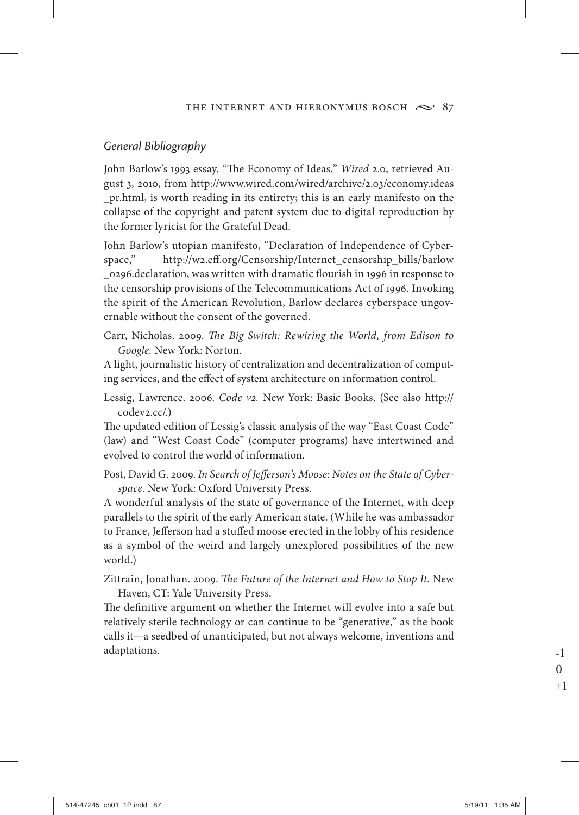## *General Bibliography*

John Barlow's 1993 essay, "The Economy of Ideas," Wired 2.0, retrieved August 3, 2010, from http://www.wired.com/wired/archive/2.03/economy.ideas \_pr .html, is worth reading in its entirety; this is an early manifesto on the collapse of the copyright and patent system due to digital reproduction by the former lyricist for the Grateful Dead.

John Barlow's utopian manifesto, "Declaration of Independence of Cyberspace," http://w2.eff.org/Censorship/Internet censorship bills/barlow 0296 .declaration, was written with dramatic flourish in 1996 in response to the censorship provisions of the Telecommunications Act of 1996. Invoking the spirit of the American Revolution, Barlow declares cyberspace ungovernable without the consent of the governed.

Carr, Nicholas. 2009. The Big Switch: Rewiring the World, from Edison to Google. New York: Norton.

A light, journalistic history of centralization and decentralization of computing services, and the effect of system architecture on information control.

Lessig, Lawrence. 2006. Code v2. New York: Basic Books. (See also http://  $codev2.cc$ .)

The updated edition of Lessig's classic analysis of the way "East Coast Code" (law) and "West Coast Code" (computer programs) have intertwined and evolved to control the world of information.

Post, David G. 2009. In Search of Jefferson's Moose: Notes on the State of Cyberspace. New York: Oxford University Press.

A wonderful analysis of the state of governance of the Internet, with deep parallels to the spirit of the early American state. (While he was ambassador to France, Jefferson had a stuffed moose erected in the lobby of his residence as a symbol of the weird and largely unexplored possibilities of the new world.)

Zittrain, Jonathan. 2009. The Future of the Internet and How to Stop It. New Haven, CT: Yale University Press.

The definitive argument on whether the Internet will evolve into a safe but relatively sterile technology or can continue to be "generative," as the book calls it— a seedbed of unanticipated, but not always welcome, inventions and adaptations.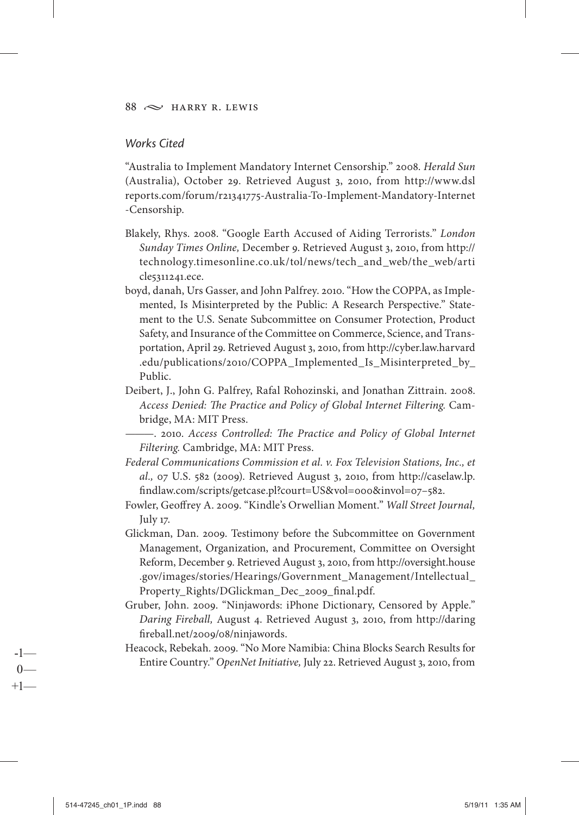#### $88 \leftrightarrow$  HARRY R. LEWIS

## *Works Cited*

"Australia to Implement Mandatory Internet Censorship." 2008. Herald Sun (Australia), October 29. Retrieved August 3, 2010, from http:// www .dsl reports.com/forum/r21341775-Australia-To-Implement-Mandatory-Internet -Censorship.

- Blakely, Rhys. 2008. "Google Earth Accused of Aiding Terrorists." London Sunday Times Online, December 9. Retrieved August 3, 2010, from http:// technology.timesonline.co.uk/tol/news/tech\_and\_web/the\_web/arti cle5311241.ece.
- boyd, danah, Urs Gasser, and John Palfrey. 2010. "How the COPPA, as Implemented, Is Misinterpreted by the Public: A Research Perspective." Statement to the U.S. Senate Subcommittee on Consumer Protection, Product Safety, and Insurance of the Committee on Commerce, Science, and Transportation, April 29. Retrieved August 3, 2010, from http://cyber.law.harvard .edu/publications/2010/COPPA\_Implemented\_Is\_Misinterpreted\_by\_ Public.
- Deibert, J., John G. Palfrey, Rafal Rohozinski, and Jonathan Zittrain. 2008. Access Denied: The Practice and Policy of Global Internet Filtering. Cambridge, MA: MIT Press.
	- $-$ . 2010. Access Controlled: The Practice and Policy of Global Internet Filtering. Cambridge, MA: MIT Press.
- Federal Communications Commission et al. v. Fox Television Stations, Inc., et al., 07 U.S. 582 (2009). Retrieved August 3, 2010, from http://caselaw.lp. findlaw.com/scripts/getcase.pl?court=US&vol=000&invol=07-582.
- Fowler, Geoffrey A. 2009. "Kindle's Orwellian Moment." Wall Street Journal, July 17.
- Glickman, Dan. 2009. Testimony before the Subcommittee on Government Management, Organization, and Procurement, Committee on Oversight Reform, December 9. Retrieved August 3, 2010, from http://oversight.house .gov/ images/ stories/ Hearings/ Government \_Management/ Intellectual \_ Property\_Rights/DGlickman\_Dec\_2009\_final.pdf.
- Gruber, John. 2009. "Ninjawords: iPhone Dictionary, Censored by Apple." Daring Fireball, August 4. Retrieved August 3, 2010, from http:// daring fireball.net/2009/08/ninjawords.
- Heacock, Rebekah. 2009. "No More Namibia: China Blocks Search Results for Entire Country." OpenNet Initiative, July 22. Retrieved August 3, 2010, from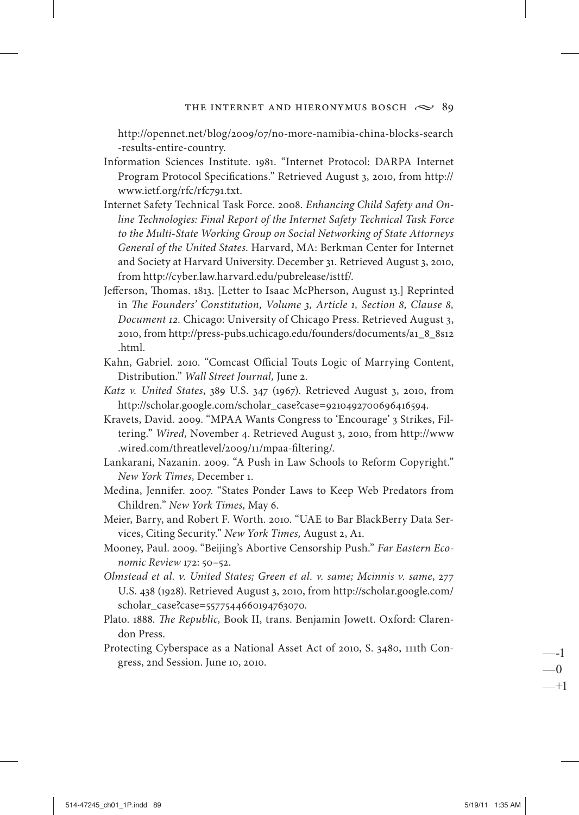http://opennet.net/blog/2009/07/no-more-namibia-china-blocks-search -results-entire-country.

- Information Sciences Institute. 1981. "Internet Protocol: DARPA Internet Program Protocol Specifications." Retrieved August 3, 2010, from http:// www.ietf.org/rfc/rfc791.txt.
- Internet Safety Technical Task Force. 2008. Enhancing Child Safety and Online Technologies: Final Report of the Internet Safety Technical Task Force to the Multi- State Working Group on Social Networking of State Attorneys General of the United States. Harvard, MA: Berkman Center for Internet and Society at Harvard University. December 31. Retrieved August 3, 2010, from http://cyber.law.harvard.edu/pubrelease/isttf/.
- Jefferson, Thomas. 1813. [Letter to Isaac McPherson, August 13.] Reprinted in The Founders' Constitution, Volume 3, Article 1, Section 8, Clause 8, Document 12. Chicago: University of Chicago Press. Retrieved August 3, 2010, from http://press-pubs.uchicago.edu/founders/documents/a1\_8\_8s12 .html.
- Kahn, Gabriel. 2010. "Comcast Official Touts Logic of Marrying Content, Distribution." Wall Street Journal, June 2.
- Katz v. United States, 389 U.S. 347 (1967). Retrieved August 3, 2010, from http://scholar.google.com/scholar\_case?case=9210492700696416594.
- Kravets, David. 2009. "MPAA Wants Congress to 'Encourage' 3 Strikes, Filtering." Wired, November 4. Retrieved August 3, 2010, from http:// www .wired.com/threatlevel/2009/11/mpaa-filtering/.
- Lankarani, Nazanin. 2009. "A Push in Law Schools to Reform Copyright." New York Times, December 1.
- Medina, Jennifer. 2007. "States Ponder Laws to Keep Web Predators from Children." New York Times, May 6.
- Meier, Barry, and Robert F. Worth. 2010. "UAE to Bar BlackBerry Data Services, Citing Security." New York Times, August 2, A1.
- Mooney, Paul. 2009. "Beijing's Abortive Censorship Push." Far Eastern Economic Review 172: 50-52.
- Olmstead et al. v. United States; Green et al. v. same; Mcinnis v. same, 277 U.S. 438 (1928). Retrieved August 3, 2010, from http://scholar.google.com/ scholar\_case?case=5577544660194763070.
- Plato. 1888. The Republic, Book II, trans. Benjamin Jowett. Oxford: Clarendon Press.
- Protecting Cyberspace as a National Asset Act of 2010, S. 3480, 111th Congress, 2nd Session. June 10, 2010.

—-1 —0 —+1